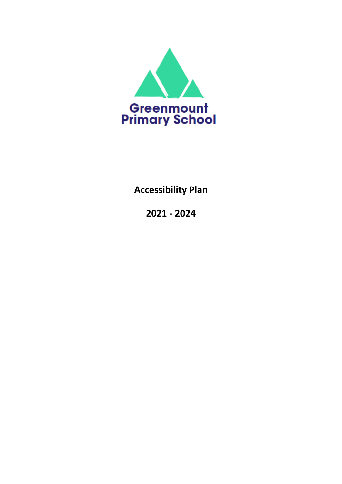

# **Accessibility Plan**

**2021 - 2024**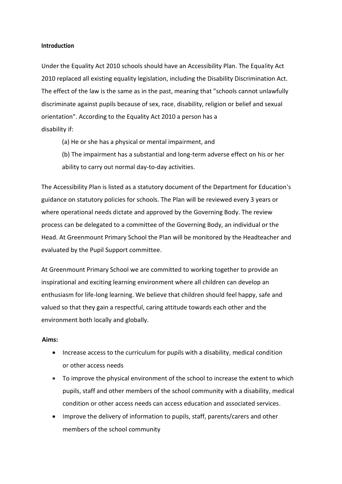#### **Introduction**

Under the Equality Act 2010 schools should have an Accessibility Plan. The Equality Act 2010 replaced all existing equality legislation, including the Disability Discrimination Act. The effect of the law is the same as in the past, meaning that "schools cannot unlawfully discriminate against pupils because of sex, race, disability, religion or belief and sexual orientation". According to the Equality Act 2010 a person has a disability if:

- (a) He or she has a physical or mental impairment, and
- (b) The impairment has a substantial and long-term adverse effect on his or her ability to carry out normal day-to-day activities.

The Accessibility Plan is listed as a statutory document of the Department for Education's guidance on statutory policies for schools. The Plan will be reviewed every 3 years or where operational needs dictate and approved by the Governing Body. The review process can be delegated to a committee of the Governing Body, an individual or the Head. At Greenmount Primary School the Plan will be monitored by the Headteacher and evaluated by the Pupil Support committee.

At Greenmount Primary School we are committed to working together to provide an inspirational and exciting learning environment where all children can develop an enthusiasm for life-long learning. We believe that children should feel happy, safe and valued so that they gain a respectful, caring attitude towards each other and the environment both locally and globally.

#### **Aims:**

- Increase access to the curriculum for pupils with a disability, medical condition or other access needs
- To improve the physical environment of the school to increase the extent to which pupils, staff and other members of the school community with a disability, medical condition or other access needs can access education and associated services.
- Improve the delivery of information to pupils, staff, parents/carers and other members of the school community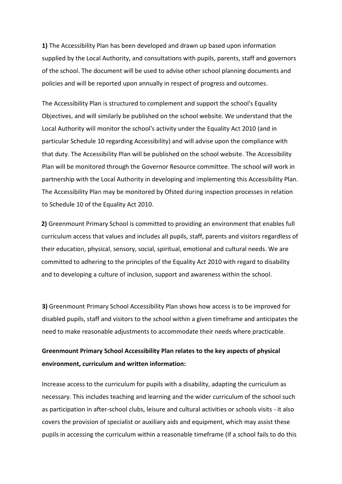**1)** The Accessibility Plan has been developed and drawn up based upon information supplied by the Local Authority, and consultations with pupils, parents, staff and governors of the school. The document will be used to advise other school planning documents and policies and will be reported upon annually in respect of progress and outcomes.

The Accessibility Plan is structured to complement and support the school's Equality Objectives, and will similarly be published on the school website. We understand that the Local Authority will monitor the school's activity under the Equality Act 2010 (and in particular Schedule 10 regarding Accessibility) and will advise upon the compliance with that duty. The Accessibility Plan will be published on the school website. The Accessibility Plan will be monitored through the Governor Resource committee. The school will work in partnership with the Local Authority in developing and implementing this Accessibility Plan. The Accessibility Plan may be monitored by Ofsted during inspection processes in relation to Schedule 10 of the Equality Act 2010.

**2)** Greenmount Primary School is committed to providing an environment that enables full curriculum access that values and includes all pupils, staff, parents and visitors regardless of their education, physical, sensory, social, spiritual, emotional and cultural needs. We are committed to adhering to the principles of the Equality Act 2010 with regard to disability and to developing a culture of inclusion, support and awareness within the school.

**3)** Greenmount Primary School Accessibility Plan shows how access is to be improved for disabled pupils, staff and visitors to the school within a given timeframe and anticipates the need to make reasonable adjustments to accommodate their needs where practicable.

# **Greenmount Primary School Accessibility Plan relates to the key aspects of physical environment, curriculum and written information:**

Increase access to the curriculum for pupils with a disability, adapting the curriculum as necessary. This includes teaching and learning and the wider curriculum of the school such as participation in after-school clubs, leisure and cultural activities or schools visits - it also covers the provision of specialist or auxiliary aids and equipment, which may assist these pupils in accessing the curriculum within a reasonable timeframe (If a school fails to do this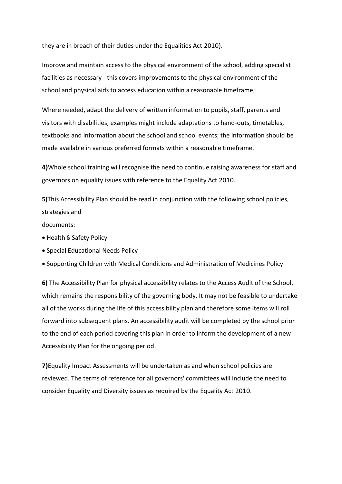they are in breach of their duties under the Equalities Act 2010).

Improve and maintain access to the physical environment of the school, adding specialist facilities as necessary - this covers improvements to the physical environment of the school and physical aids to access education within a reasonable timeframe;

Where needed, adapt the delivery of written information to pupils, staff, parents and visitors with disabilities; examples might include adaptations to hand-outs, timetables, textbooks and information about the school and school events; the information should be made available in various preferred formats within a reasonable timeframe.

**4)**Whole school training will recognise the need to continue raising awareness for staff and governors on equality issues with reference to the Equality Act 2010.

**5)**This Accessibility Plan should be read in conjunction with the following school policies, strategies and

documents:

- Health & Safety Policy
- Special Educational Needs Policy
- Supporting Children with Medical Conditions and Administration of Medicines Policy

**6)** The Accessibility Plan for physical accessibility relates to the Access Audit of the School, which remains the responsibility of the governing body. It may not be feasible to undertake all of the works during the life of this accessibility plan and therefore some items will roll forward into subsequent plans. An accessibility audit will be completed by the school prior to the end of each period covering this plan in order to inform the development of a new Accessibility Plan for the ongoing period.

**7)**Equality Impact Assessments will be undertaken as and when school policies are reviewed. The terms of reference for all governors' committees will include the need to consider Equality and Diversity issues as required by the Equality Act 2010.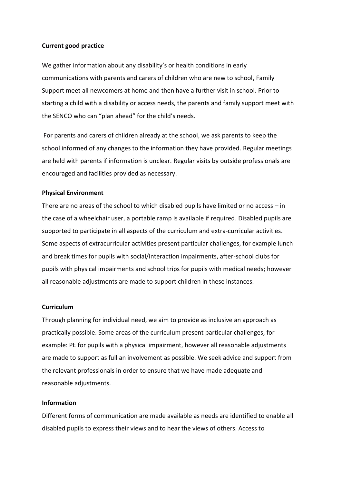## **Current good practice**

We gather information about any disability's or health conditions in early communications with parents and carers of children who are new to school, Family Support meet all newcomers at home and then have a further visit in school. Prior to starting a child with a disability or access needs, the parents and family support meet with the SENCO who can "plan ahead" for the child's needs.

For parents and carers of children already at the school, we ask parents to keep the school informed of any changes to the information they have provided. Regular meetings are held with parents if information is unclear. Regular visits by outside professionals are encouraged and facilities provided as necessary.

### **Physical Environment**

There are no areas of the school to which disabled pupils have limited or no access – in the case of a wheelchair user, a portable ramp is available if required. Disabled pupils are supported to participate in all aspects of the curriculum and extra-curricular activities. Some aspects of extracurricular activities present particular challenges, for example lunch and break times for pupils with social/interaction impairments, after-school clubs for pupils with physical impairments and school trips for pupils with medical needs; however all reasonable adjustments are made to support children in these instances.

### **Curriculum**

Through planning for individual need, we aim to provide as inclusive an approach as practically possible. Some areas of the curriculum present particular challenges, for example: PE for pupils with a physical impairment, however all reasonable adjustments are made to support as full an involvement as possible. We seek advice and support from the relevant professionals in order to ensure that we have made adequate and reasonable adjustments.

# **Information**

Different forms of communication are made available as needs are identified to enable all disabled pupils to express their views and to hear the views of others. Access to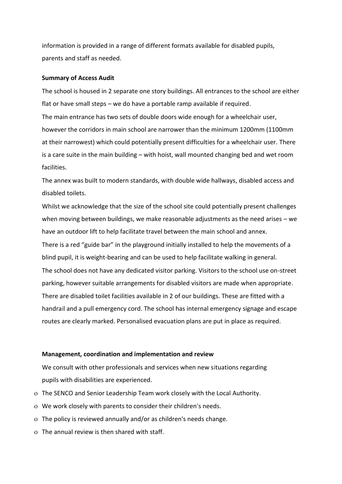information is provided in a range of different formats available for disabled pupils, parents and staff as needed.

#### **Summary of Access Audit**

The school is housed in 2 separate one story buildings. All entrances to the school are either flat or have small steps – we do have a portable ramp available if required. The main entrance has two sets of double doors wide enough for a wheelchair user, however the corridors in main school are narrower than the minimum 1200mm (1100mm at their narrowest) which could potentially present difficulties for a wheelchair user. There is a care suite in the main building – with hoist, wall mounted changing bed and wet room facilities.

The annex was built to modern standards, with double wide hallways, disabled access and disabled toilets.

Whilst we acknowledge that the size of the school site could potentially present challenges when moving between buildings, we make reasonable adjustments as the need arises – we have an outdoor lift to help facilitate travel between the main school and annex. There is a red "guide bar" in the playground initially installed to help the movements of a blind pupil, it is weight-bearing and can be used to help facilitate walking in general. The school does not have any dedicated visitor parking. Visitors to the school use on-street parking, however suitable arrangements for disabled visitors are made when appropriate. There are disabled toilet facilities available in 2 of our buildings. These are fitted with a handrail and a pull emergency cord. The school has internal emergency signage and escape routes are clearly marked. Personalised evacuation plans are put in place as required.

#### **Management, coordination and implementation and review**

We consult with other professionals and services when new situations regarding pupils with disabilities are experienced.

- The SENCO and Senior Leadership Team work closely with the Local Authority.
- We work closely with parents to consider their children's needs.
- The policy is reviewed annually and/or as children's needs change.
- The annual review is then shared with staff.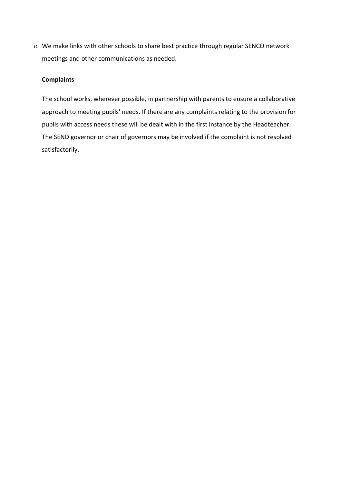We make links with other schools to share best practice through regular SENCO network meetings and other communications as needed.

# **Complaints**

The school works, wherever possible, in partnership with parents to ensure a collaborative approach to meeting pupils' needs. If there are any complaints relating to the provision for pupils with access needs these will be dealt with in the first instance by the Headteacher. The SEND governor or chair of governors may be involved if the complaint is not resolved satisfactorily.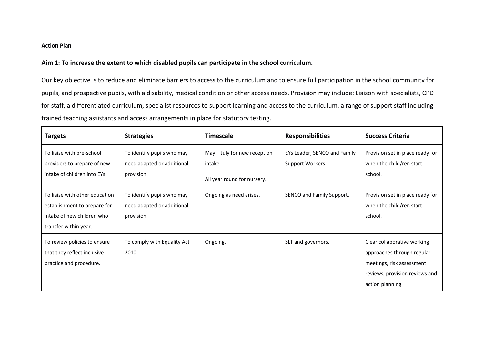# **Action Plan**

# **Aim 1: To increase the extent to which disabled pupils can participate in the school curriculum.**

Our key objective is to reduce and eliminate barriers to access to the curriculum and to ensure full participation in the school community for pupils, and prospective pupils, with a disability, medical condition or other access needs. Provision may include: Liaison with specialists, CPD for staff, a differentiated curriculum, specialist resources to support learning and access to the curriculum, a range of support staff including trained teaching assistants and access arrangements in place for statutory testing.

| <b>Targets</b>                                                                                                        | <b>Strategies</b>                                                      | <b>Timescale</b>                                                       | <b>Responsibilities</b>                          | <b>Success Criteria</b>                                                                                                                      |
|-----------------------------------------------------------------------------------------------------------------------|------------------------------------------------------------------------|------------------------------------------------------------------------|--------------------------------------------------|----------------------------------------------------------------------------------------------------------------------------------------------|
| To liaise with pre-school<br>providers to prepare of new<br>intake of children into EYs.                              | To identify pupils who may<br>need adapted or additional<br>provision. | May - July for new reception<br>intake.<br>All year round for nursery. | EYs Leader, SENCO and Family<br>Support Workers. | Provision set in place ready for<br>when the child/ren start<br>school.                                                                      |
| To liaise with other education<br>establishment to prepare for<br>intake of new children who<br>transfer within year. | To identify pupils who may<br>need adapted or additional<br>provision. | Ongoing as need arises.                                                | SENCO and Family Support.                        | Provision set in place ready for<br>when the child/ren start<br>school.                                                                      |
| To review policies to ensure<br>that they reflect inclusive<br>practice and procedure.                                | To comply with Equality Act<br>2010.                                   | Ongoing.                                                               | SLT and governors.                               | Clear collaborative working<br>approaches through regular<br>meetings, risk assessment<br>reviews, provision reviews and<br>action planning. |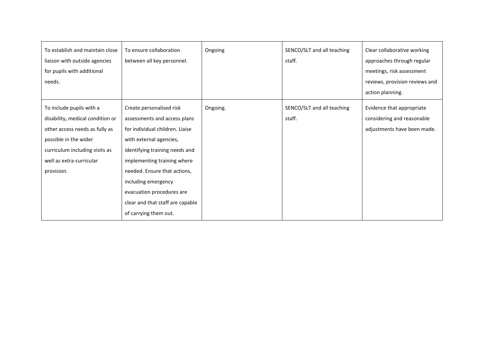| To establish and maintain close<br>liaison with outside agencies<br>for pupils with additional<br>needs.                                                                                            | To ensure collaboration<br>between all key personnel.                                                                                                                                                                                                                                                                                    | Ongoing  | SENCO/SLT and all teaching<br>staff. | Clear collaborative working<br>approaches through regular<br>meetings, risk assessment<br>reviews, provision reviews and<br>action planning. |
|-----------------------------------------------------------------------------------------------------------------------------------------------------------------------------------------------------|------------------------------------------------------------------------------------------------------------------------------------------------------------------------------------------------------------------------------------------------------------------------------------------------------------------------------------------|----------|--------------------------------------|----------------------------------------------------------------------------------------------------------------------------------------------|
| To include pupils with a<br>disability, medical condition or<br>other access needs as fully as<br>possible in the wider<br>curriculum including visits as<br>well as extra-curricular<br>provision. | Create personalised risk<br>assessments and access plans<br>for individual children. Liaise<br>with external agencies,<br>identifying training needs and<br>implementing training where<br>needed. Ensure that actions,<br>including emergency<br>evacuation procedures are<br>clear and that staff are capable<br>of carrying them out. | Ongoing. | SENCO/SLT and all teaching<br>staff. | Evidence that appropriate<br>considering and reasonable<br>adjustments have been made.                                                       |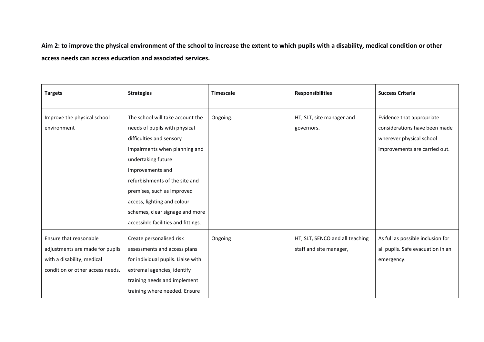**Aim 2: to improve the physical environment of the school to increase the extent to which pupils with a disability, medical condition or other access needs can access education and associated services.**

| <b>Targets</b>                                                                                                              | <b>Strategies</b>                                                                                                                                                                                                                                                                                                                                 | <b>Timescale</b> | <b>Responsibilities</b>                                    | <b>Success Criteria</b>                                                                                                 |
|-----------------------------------------------------------------------------------------------------------------------------|---------------------------------------------------------------------------------------------------------------------------------------------------------------------------------------------------------------------------------------------------------------------------------------------------------------------------------------------------|------------------|------------------------------------------------------------|-------------------------------------------------------------------------------------------------------------------------|
| Improve the physical school<br>environment                                                                                  | The school will take account the<br>needs of pupils with physical<br>difficulties and sensory<br>impairments when planning and<br>undertaking future<br>improvements and<br>refurbishments of the site and<br>premises, such as improved<br>access, lighting and colour<br>schemes, clear signage and more<br>accessible facilities and fittings. | Ongoing.         | HT, SLT, site manager and<br>governors.                    | Evidence that appropriate<br>considerations have been made<br>wherever physical school<br>improvements are carried out. |
| Ensure that reasonable<br>adjustments are made for pupils<br>with a disability, medical<br>condition or other access needs. | Create personalised risk<br>assessments and access plans<br>for individual pupils. Liaise with<br>extremal agencies, identify<br>training needs and implement<br>training where needed. Ensure                                                                                                                                                    | Ongoing          | HT, SLT, SENCO and all teaching<br>staff and site manager, | As full as possible inclusion for<br>all pupils. Safe evacuation in an<br>emergency.                                    |